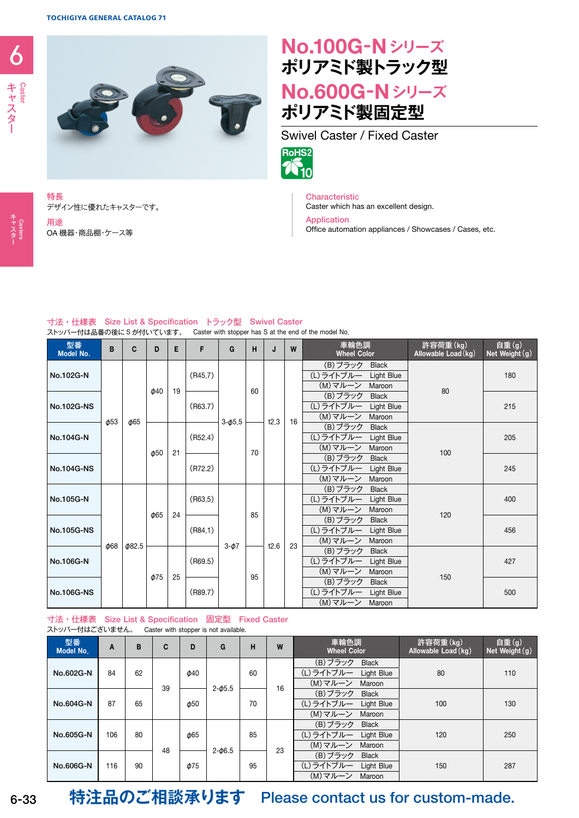デザイン性に優れたキャスターです。

OA 機器・商品棚・ケース等



## **No.100G**-**Nシリーズ ポリアミド製トラック型 No.600G**-**Nシリーズ ポリアミド製固定型**





Characteristic

Caster which has an excellent design.

Application Office automation appliances / Showcases / Cases, etc.

## 寸法・仕様表 Size List & Specification トラック型 Swivel Caster

ストッパー付は品番の後に S が付いています。 Caster with stopper has S at the end of the model No.

| 型番<br>Model No. | B         | C                  | D                      | Е  | F       | G          | н        | J    | W  | 車輪色調<br><b>Wheel Color</b>               | 許容荷重(kg)<br>Allowable Load (kg) | 自重(g)<br>Net Weight (g) |
|-----------------|-----------|--------------------|------------------------|----|---------|------------|----------|------|----|------------------------------------------|---------------------------------|-------------------------|
| No.102G-N       | $\phi$ 53 | <b><i>d</i></b> 65 | $\phi$ 40              | 19 | (R45.7) |            | 60<br>70 | t2.3 | 16 | (B)ブラック<br><b>Black</b>                  | 80<br>100                       | 180<br>215              |
|                 |           |                    |                        |    |         |            |          |      |    | (L)ライトブルー<br>Light Blue                  |                                 |                         |
|                 |           |                    |                        |    |         |            |          |      |    | (M)マルーン<br>Maroon                        |                                 |                         |
| No.102G-NS      |           |                    |                        |    | (R63.7) |            |          |      |    | (B)ブラック<br><b>Black</b>                  |                                 |                         |
|                 |           |                    |                        |    |         |            |          |      |    | (L)ライトブルー<br>Light Blue                  |                                 |                         |
|                 |           |                    |                        |    |         | $3 - 45.5$ |          |      |    | (M)マルーン<br>Maroon<br>(B)ブラック             |                                 |                         |
| No.104G-N       |           |                    | $\omega$ <sub>50</sub> | 21 | (R52.4) |            |          |      |    | <b>Black</b><br>(L) ライトブルー<br>Light Blue |                                 | 205                     |
|                 |           |                    |                        |    |         |            |          |      |    | (M)マルーン<br>Maroon                        |                                 |                         |
|                 |           |                    |                        |    |         |            |          |      |    | (B) ブラック<br><b>Black</b>                 |                                 | 245                     |
| No.104G-NS      |           |                    |                        |    | (R72.2) |            |          |      |    | (L) ライトブルー<br>Light Blue                 |                                 |                         |
|                 |           |                    |                        |    |         |            |          |      |    | (M)マルーン<br>Maroon                        |                                 |                         |
|                 |           | $\phi$ 82.5        | <b>065</b>             | 24 | (R63.5) | $3-\phi$ 7 | 85<br>95 | t2.6 | 23 | (B)ブラック<br><b>Black</b>                  | 120<br>150                      | 400                     |
| No.105G-N       | $\phi$ 68 |                    |                        |    |         |            |          |      |    | (L) ライトブルー<br>Light Blue                 |                                 |                         |
|                 |           |                    |                        |    |         |            |          |      |    | (M) マルーン<br>Maroon                       |                                 |                         |
|                 |           |                    |                        |    | (R84.1) |            |          |      |    | (B)ブラック<br><b>Black</b>                  |                                 | 456                     |
| No.105G-NS      |           |                    |                        |    |         |            |          |      |    | (L)ライトブルー<br>Light Blue                  |                                 |                         |
|                 |           |                    |                        |    |         |            |          |      |    | (M)マルーン<br>Maroon                        |                                 |                         |
| No.106G-N       |           |                    | <b>Φ75</b>             | 25 | (R69.5) |            |          |      |    | (B)ブラック<br><b>Black</b>                  |                                 | 427                     |
|                 |           |                    |                        |    |         |            |          |      |    | (L) ライトブルー<br>Light Blue                 |                                 |                         |
|                 |           |                    |                        |    |         |            |          |      |    | (M)マルーン<br>Maroon                        |                                 |                         |
| No.106G-NS      |           |                    |                        |    | (R89.7) |            |          |      |    | (B)ブラック<br><b>Black</b>                  |                                 | 500                     |
|                 |           |                    |                        |    |         |            |          |      |    | (L) ライトブルー<br>Light Blue                 |                                 |                         |
|                 |           |                    |                        |    |         |            |          |      |    | (M)マルーン<br>Maroon                        |                                 |                         |

## 寸法・仕様表 Size List & Specification 固定型 Fixed Caster ストッパー付はございません。 Caster with stopper is not available.

| 型番<br>Model No. | A   | B  | C  | D                    | G          | н  | W  | 車輪色調<br><b>Wheel Color</b> | 許容荷重(kg)<br>Allowable Load (kg) | 自重(g)<br>Net Weight (g) |
|-----------------|-----|----|----|----------------------|------------|----|----|----------------------------|---------------------------------|-------------------------|
| No.602G-N       |     | 62 | 39 | $\phi$ 40            | $2 - 05.5$ | 60 | 16 | (B)ブラック<br><b>Black</b>    | 80                              | 110                     |
|                 | 84  |    |    |                      |            |    |    | (L)ライトブルー Light Blue       |                                 |                         |
|                 |     |    |    |                      |            |    |    | (M) マルーン Maroon            |                                 |                         |
| No.604G-N       | 87  | 65 |    |                      |            | 70 |    | (B) ブラック<br>Black          |                                 |                         |
|                 |     |    |    | $\phi$ <sub>50</sub> |            |    |    | (L)ライトブルー Light Blue       | 100                             | 130                     |
|                 |     |    |    |                      |            |    |    | (M) マルーン Maroon            |                                 |                         |
| No.605G-N       | 106 | 80 | 48 | <b>¢65</b>           | $2 - 06.5$ | 85 | 23 | (B)ブラック<br>Black           | 120                             | 250                     |
|                 |     |    |    |                      |            |    |    | (L)ライトブルー Light Blue       |                                 |                         |
|                 |     |    |    |                      |            |    |    | (M) マルーン Maroon            |                                 |                         |
| No.606G-N       |     |    |    |                      |            | 95 |    | (B)ブラック<br><b>Black</b>    |                                 |                         |
|                 | 116 | 90 |    | <b>Φ75</b>           |            |    |    | (L)ライトブルー<br>Light Blue    | 150                             | 287                     |
|                 |     |    |    |                      |            |    |    | (M) マルーン Maroon            |                                 |                         |

<del>6</del> – 33<br>\*スター<br>セスター

特長

用途

 $6 - 33$ 

**特注品のご相談承ります** Please contact us for custom-made.